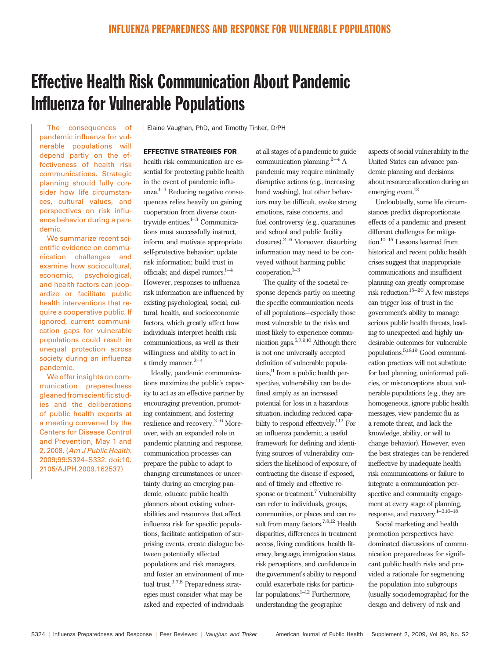# Effective Health Risk Communication About Pandemic Influenza for Vulnerable Populations

The consequences of pandemic influenza for vulnerable populations will depend partly on the effectiveness of health risk communications. Strategic planning should fully consider how life circumstances, cultural values, and perspectives on risk influence behavior during a pandemic.

We summarize recent scientific evidence on communication challenges and examine how sociocultural, economic, psychological, and health factors can jeopardize or facilitate public health interventions that require a cooperative public. If ignored, current communication gaps for vulnerable populations could result in unequal protection across society during an influenza pandemic.

We offer insights on communication preparedness gleaned from scientific studies and the deliberations of public health experts at a meeting convened by the Centers for Disease Control and Prevention, May 1 and 2, 2008. (Am J Public Health. 2009;99:S324–S332. doi:10. 2105/AJPH.2009.162537)

**Elaine Vaughan, PhD, and Timothy Tinker, DrPH** 

### EFFECTIVE STRATEGIES FOR

health risk communication are essential for protecting public health in the event of pandemic influ $enza.<sup>1–3</sup>$  Reducing negative consequences relies heavily on gaining cooperation from diverse countrywide entities. $1-3$  Communications must successfully instruct, inform, and motivate appropriate self-protective behavior; update risk information; build trust in officials; and dispel rumors. $1-4$ However, responses to influenza risk information are influenced by existing psychological, social, cultural, health, and socioeconomic factors, which greatly affect how individuals interpret health risk communications, as well as their willingness and ability to act in a timely manner. $2-4$ 

Ideally, pandemic communications maximize the public's capacity to act as an effective partner by encouraging prevention, promoting containment, and fostering resilience and recovery.3–6 Moreover, with an expanded role in pandemic planning and response, communication processes can prepare the public to adapt to changing circumstances or uncertainty during an emerging pandemic, educate public health planners about existing vulnerabilities and resources that affect influenza risk for specific populations, facilitate anticipation of surprising events, create dialogue between potentially affected populations and risk managers, and foster an environment of mutual trust.3,7,8 Preparedness strategies must consider what may be asked and expected of individuals at all stages of a pandemic to guide communication planning. $2-4$  A pandemic may require minimally disruptive actions (e.g., increasing hand washing), but other behaviors may be difficult, evoke strong emotions, raise concerns, and fuel controversy (e.g., quarantines and school and public facility closures).2–6 Moreover, disturbing information may need to be conveyed without harming public cooperation.1–3

The quality of the societal response depends partly on meeting the specific communication needs of all populations—especially those most vulnerable to the risks and most likely to experience communication gaps.5,7,9,10 Although there is not one universally accepted definition of vulnerable populations,<sup>11</sup> from a public health perspective, vulnerability can be defined simply as an increased potential for loss in a hazardous situation, including reduced capability to respond effectively.<sup>1,12</sup> For an influenza pandemic, a useful framework for defining and identifying sources of vulnerability considers the likelihood of exposure, of contracting the disease if exposed, and of timely and effective response or treatment.<sup>7</sup> Vulnerability can refer to individuals, groups, communities, or places and can result from many factors.7,8,12 Health disparities, differences in treatment access, living conditions, health literacy, language, immigration status, risk perceptions, and confidence in the government's ability to respond could exacerbate risks for particular populations. $1-12$  Furthermore, understanding the geographic

aspects of social vulnerability in the United States can advance pandemic planning and decisions about resource allocation during an emerging event.<sup>12</sup>

Undoubtedly, some life circumstances predict disproportionate effects of a pandemic and present different challenges for mitigation.10–15 Lessons learned from historical and recent public health crises suggest that inappropriate communications and insufficient planning can greatly compromise risk reduction.<sup>15–20</sup> A few missteps can trigger loss of trust in the government's ability to manage serious public health threats, leading to unexpected and highly undesirable outcomes for vulnerable populations.5,18,19 Good communication practices will not substitute for bad planning, uninformed policies, or misconceptions about vulnerable populations (e.g., they are homogeneous, ignore public health messages, view pandemic flu as a remote threat, and lack the knowledge, ability, or will to change behavior). However, even the best strategies can be rendered ineffective by inadequate health risk communications or failure to integrate a communication perspective and community engagement at every stage of planning, response, and recovery.1–3,16–18

Social marketing and health promotion perspectives have dominated discussions of communication preparedness for significant public health risks and provided a rationale for segmenting the population into subgroups (usually sociodemographic) for the design and delivery of risk and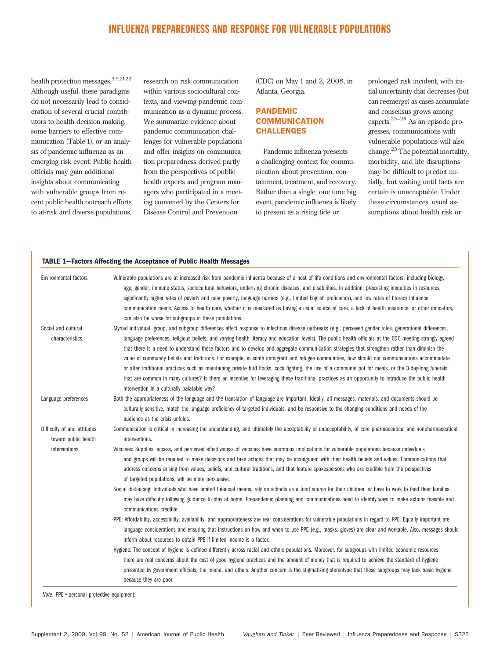health protection messages.<sup>3,9,21,22</sup> Although useful, these paradigms do not necessarily lead to consideration of several crucial contributors to health decision-making, some barriers to effective communication (Table 1), or an analysis of pandemic influenza as an emerging risk event. Public health officials may gain additional insights about communicating with vulnerable groups from recent public health outreach efforts to at-risk and diverse populations,

research on risk communication within various sociocultural contexts, and viewing pandemic communication as a dynamic process. We summarize evidence about pandemic communication challenges for vulnerable populations and offer insights on communication preparedness derived partly from the perspectives of public health experts and program managers who participated in a meeting convened by the Centers for Disease Control and Prevention

(CDC) on May 1 and 2, 2008, in Atlanta, Georgia.

## PANDEMIC **COMMUNICATION** CHALLENGES

Pandemic influenza presents a challenging context for communication about prevention, containment, treatment, and recovery. Rather than a single, one time big event, pandemic influenza is likely to present as a rising tide or

prolonged risk incident, with initial uncertainty that decreases (but can reemerge) as cases accumulate and consensus grows among experts.23–25 As an episode progresses, communications with vulnerable populations will also change.<sup>23</sup> The potential mortality, morbidity, and life disruptions may be difficult to predict initially, but waiting until facts are certain is unacceptable. Under these circumstances, usual assumptions about health risk or

#### TABLE 1—Factors Affecting the Acceptance of Public Health Messages

| Environmental factors       | Vulnerable populations are at increased risk from pandemic influenza because of a host of life conditions and environmental factors, including biology,<br>age, gender, immune status, sociocultural behaviors, underlying chronic diseases, and disabilities. In addition, preexisting inequities in resources, |
|-----------------------------|------------------------------------------------------------------------------------------------------------------------------------------------------------------------------------------------------------------------------------------------------------------------------------------------------------------|
|                             | significantly higher rates of poverty and near poverty, language barriers (e.g., limited English proficiency), and low rates of literacy influence                                                                                                                                                               |
|                             | communication needs. Access to health care, whether it is measured as having a usual source of care, a lack of health insurance, or other indicators,<br>can also be worse for subgroups in these populations.                                                                                                   |
| Social and cultural         | Myriad individual, group, and subgroup differences affect response to infectious disease outbreaks (e.g., perceived gender roles, generational differences,                                                                                                                                                      |
| characteristics             | language preferences, religious beliefs, and varying health literacy and education levels). The public health officials at the CDC meeting strongly agreed                                                                                                                                                       |
|                             | that there is a need to understand these factors and to develop and aggregate communication strategies that strengthen rather than diminish the<br>value of community beliefs and traditions. For example, in some immigrant and refugee communities, how should our communications accommodate                  |
|                             | or alter traditional practices such as maintaining private bird flocks, cock fighting, the use of a communal pot for meals, or the 3-day-long funerals                                                                                                                                                           |
|                             | that are common in many cultures? Is there an incentive for leveraging these traditional practices as an opportunity to introduce the public health                                                                                                                                                              |
|                             | intervention in a culturally palatable way?                                                                                                                                                                                                                                                                      |
| Language preferences        | Both the appropriateness of the language and the translation of language are important. Ideally, all messages, materials, and documents should be                                                                                                                                                                |
|                             | culturally sensitive, match the language proficiency of targeted individuals, and be responsive to the changing conditions and needs of the<br>audience as the crisis unfolds.                                                                                                                                   |
| Difficulty of and attitudes | Communication is critical in increasing the understanding, and ultimately the acceptability or unacceptability, of core pharmaceutical and nonpharmaceutical                                                                                                                                                     |
| toward public health        | interventions.                                                                                                                                                                                                                                                                                                   |
| interventions               | Vaccines: Supplies, access, and perceived effectiveness of vaccines have enormous implications for vulnerable populations because individuals                                                                                                                                                                    |
|                             | and groups will be required to make decisions and take actions that may be incongruent with their health beliefs and values. Communications that                                                                                                                                                                 |
|                             | address concerns arising from values, beliefs, and cultural traditions, and that feature spokespersons who are credible from the perspectives                                                                                                                                                                    |
|                             | of targeted populations, will be more persuasive.                                                                                                                                                                                                                                                                |
|                             | Social distancing: Individuals who have limited financial means, rely on schools as a food source for their children, or have to work to feed their families                                                                                                                                                     |
|                             | may have difficulty following guidance to stay at home. Prepandemic planning and communications need to identify ways to make actions feasible and<br>communications credible.                                                                                                                                   |
|                             | PPE: Affordability, accessibility, availability, and appropriateness are real considerations for vulnerable populations in regard to PPE. Equally important are                                                                                                                                                  |
|                             | language considerations and ensuring that instructions on how and when to use PPE (e.g., masks, gloves) are clear and workable. Also, messages should                                                                                                                                                            |
|                             | inform about resources to obtain PPE if limited income is a factor.                                                                                                                                                                                                                                              |
|                             | Hygiene: The concept of hygiene is defined differently across racial and ethnic populations. Moreover, for subgroups with limited economic resources                                                                                                                                                             |
|                             | there are real concerns about the cost of good hygiene practices and the amount of money that is required to achieve the standard of hygiene                                                                                                                                                                     |
|                             | presented by government officials, the media, and others. Another concern is the stigmatizing stereotype that these subgroups may lack basic hygiene                                                                                                                                                             |
|                             | because they are poor.                                                                                                                                                                                                                                                                                           |

Note. PPE = personal protective equipment.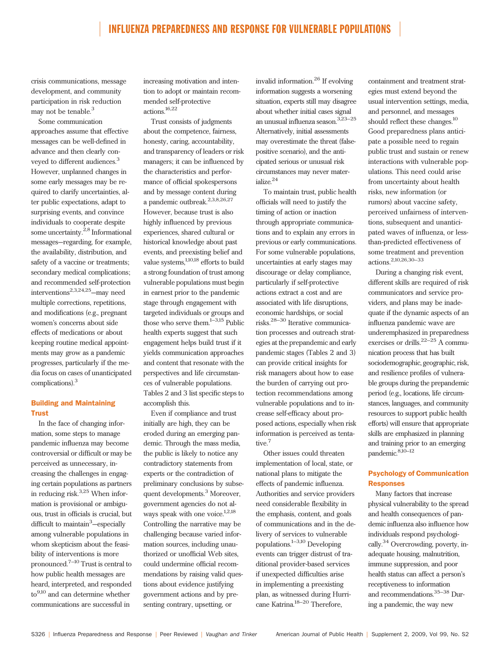crisis communications, message development, and community participation in risk reduction may not be tenable.<sup>3</sup>

Some communication approaches assume that effective messages can be well-defined in advance and then clearly conveyed to different audiences.<sup>3</sup> However, unplanned changes in some early messages may be required to clarify uncertainties, alter public expectations, adapt to surprising events, and convince individuals to cooperate despite some uncertainty.2,8 Informational messages—regarding, for example, the availability, distribution, and safety of a vaccine or treatments; secondary medical complications; and recommended self-protection interventions2,3,24,25—may need multiple corrections, repetitions, and modifications (e.g., pregnant women's concerns about side effects of medications or about keeping routine medical appointments may grow as a pandemic progresses, particularly if the media focus on cases of unanticipated complications).<sup>3</sup>

## Building and Maintaining Trust

In the face of changing information, some steps to manage pandemic influenza may become controversial or difficult or may be perceived as unnecessary, increasing the challenges in engaging certain populations as partners in reducing risk.3,25 When information is provisional or ambiguous, trust in officials is crucial, but difficult to maintain<sup>3</sup>-especially among vulnerable populations in whom skepticism about the feasibility of interventions is more pronounced.7–10 Trust is central to how public health messages are heard, interpreted, and responded  $\rm{to}^{9,10}$  and can determine whether communications are successful in

increasing motivation and intention to adopt or maintain recommended self-protective actions.16,22

Trust consists of judgments about the competence, fairness, honesty, caring, accountability, and transparency of leaders or risk managers; it can be influenced by the characteristics and performance of official spokespersons and by message content during a pandemic outbreak.2,3,8,26,27 However, because trust is also highly influenced by previous experiences, shared cultural or historical knowledge about past events, and preexisting belief and value systems,<sup>1,10,18</sup> efforts to build a strong foundation of trust among vulnerable populations must begin in earnest prior to the pandemic stage through engagement with targeted individuals or groups and those who serve them.<sup>1-3,15</sup> Public health experts suggest that such engagement helps build trust if it yields communication approaches and content that resonate with the perspectives and life circumstances of vulnerable populations. Tables 2 and 3 list specific steps to accomplish this.

Even if compliance and trust initially are high, they can be eroded during an emerging pandemic. Through the mass media, the public is likely to notice any contradictory statements from experts or the contradiction of preliminary conclusions by subsequent developments.<sup>3</sup> Moreover, government agencies do not always speak with one voice.<sup>1,2,18</sup> Controlling the narrative may be challenging because varied information sources, including unauthorized or unofficial Web sites, could undermine official recommendations by raising valid questions about evidence justifying government actions and by presenting contrary, upsetting, or

invalid information.<sup>26</sup> If evolving information suggests a worsening situation, experts still may disagree about whether initial cases signal an unusual influenza season.3,23–25 Alternatively, initial assessments may overestimate the threat (falsepositive scenario), and the anticipated serious or unusual risk circumstances may never materialize.24

To maintain trust, public health officials will need to justify the timing of action or inaction through appropriate communications and to explain any errors in previous or early communications. For some vulnerable populations, uncertainties at early stages may discourage or delay compliance, particularly if self-protective actions extract a cost and are associated with life disruptions, economic hardships, or social risks.28–30 Iterative communication processes and outreach strategies at the prepandemic and early pandemic stages (Tables 2 and 3) can provide critical insights for risk managers about how to ease the burden of carrying out protection recommendations among vulnerable populations and to increase self-efficacy about proposed actions, especially when risk information is perceived as tentative.<sup>7</sup>

Other issues could threaten implementation of local, state, or national plans to mitigate the effects of pandemic influenza. Authorities and service providers need considerable flexibility in the emphasis, content, and goals of communications and in the delivery of services to vulnerable populations.1–3,10 Developing events can trigger distrust of traditional provider-based services if unexpected difficulties arise in implementing a preexisting plan, as witnessed during Hurricane Katrina.18–20 Therefore,

containment and treatment strategies must extend beyond the usual intervention settings, media, and personnel, and messages should reflect these changes.<sup>10</sup> Good preparedness plans anticipate a possible need to regain public trust and sustain or renew interactions with vulnerable populations. This need could arise from uncertainty about health risks, new information (or rumors) about vaccine safety, perceived unfairness of interventions, subsequent and unanticipated waves of influenza, or lessthan-predicted effectiveness of some treatment and prevention actions.2,10,26,30–33

During a changing risk event, different skills are required of risk communicators and service providers, and plans may be inadequate if the dynamic aspects of an influenza pandemic wave are underemphasized in preparedness exercises or drills.22–25 A communication process that has built sociodemographic, geographic, risk, and resilience profiles of vulnerable groups during the prepandemic period (e.g., locations, life circumstances, languages, and community resources to support public health efforts) will ensure that appropriate skills are emphasized in planning and training prior to an emerging pandemic.<sup>8,10-12</sup>

## Psychology of Communication **Responses**

Many factors that increase physical vulnerability to the spread and health consequences of pandemic influenza also influence how individuals respond psychologically.34 Overcrowding, poverty, inadequate housing, malnutrition, immune suppression, and poor health status can affect a person's receptiveness to information and recommendations.  $\rm^{35-38}$  During a pandemic, the way new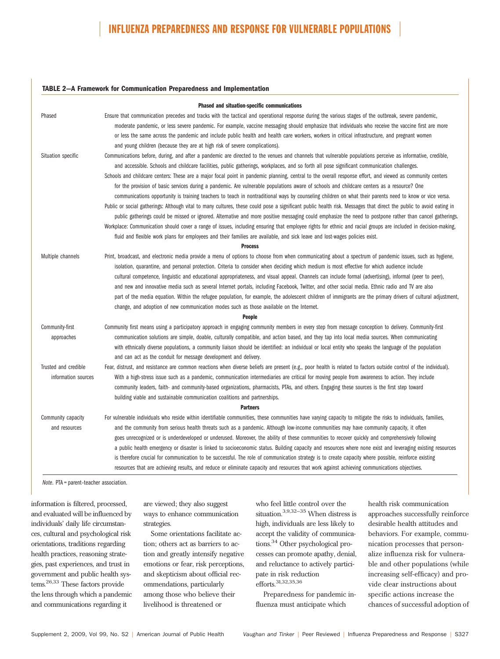#### TABLE 2—A Framework for Communication Preparedness and Implementation

| Phased and situation-specific communications |                                                                                                                                                                     |  |  |
|----------------------------------------------|---------------------------------------------------------------------------------------------------------------------------------------------------------------------|--|--|
| Phased                                       | Ensure that communication precedes and tracks with the tactical and operational response during the various stages of the outbreak, severe pandemic,                |  |  |
|                                              | moderate pandemic, or less severe pandemic. For example, vaccine messaging should emphasize that individuals who receive the vaccine first are more                 |  |  |
|                                              | or less the same across the pandemic and include public health and health care workers, workers in critical infrastructure, and pregnant women                      |  |  |
|                                              | and young children (because they are at high risk of severe complications).                                                                                         |  |  |
| Situation specific                           | Communications before, during, and after a pandemic are directed to the venues and channels that vulnerable populations perceive as informative, credible,          |  |  |
|                                              | and accessible. Schools and childcare facilities, public gatherings, workplaces, and so forth all pose significant communication challenges.                        |  |  |
|                                              | Schools and childcare centers: These are a major focal point in pandemic planning, central to the overall response effort, and viewed as community centers          |  |  |
|                                              | for the provision of basic services during a pandemic. Are vulnerable populations aware of schools and childcare centers as a resource? One                         |  |  |
|                                              | communications opportunity is training teachers to teach in nontraditional ways by counseling children on what their parents need to know or vice versa.            |  |  |
|                                              | Public or social gatherings: Although vital to many cultures, these could pose a significant public health risk. Messages that direct the public to avoid eating in |  |  |
|                                              | public gatherings could be missed or ignored. Alternative and more positive messaging could emphasize the need to postpone rather than cancel gatherings.           |  |  |
|                                              | Workplace: Communication should cover a range of issues, including ensuring that employee rights for ethnic and racial groups are included in decision-making,      |  |  |
|                                              | fluid and flexible work plans for employees and their families are available, and sick leave and lost-wages policies exist.                                         |  |  |
| <b>Process</b>                               |                                                                                                                                                                     |  |  |
| Multiple channels                            | Print, broadcast, and electronic media provide a menu of options to choose from when communicating about a spectrum of pandemic issues, such as hygiene,            |  |  |
|                                              | isolation, quarantine, and personal protection. Criteria to consider when deciding which medium is most effective for which audience include                        |  |  |
|                                              | cultural competence, linguistic and educational appropriateness, and visual appeal. Channels can include formal (advertising), informal (peer to peer),             |  |  |
|                                              | and new and innovative media such as several Internet portals, including Facebook, Twitter, and other social media. Ethnic radio and TV are also                    |  |  |
|                                              | part of the media equation. Within the refugee population, for example, the adolescent children of immigrants are the primary drivers of cultural adjustment,       |  |  |
|                                              | change, and adoption of new communication modes such as those available on the Internet.                                                                            |  |  |
|                                              | <b>People</b>                                                                                                                                                       |  |  |
| Community-first                              | Community first means using a participatory approach in engaging community members in every step from message conception to delivery. Community-first               |  |  |
| approaches                                   | communication solutions are simple, doable, culturally compatible, and action based, and they tap into local media sources. When communicating                      |  |  |
|                                              | with ethnically diverse populations, a community liaison should be identified: an individual or local entity who speaks the language of the population              |  |  |
|                                              | and can act as the conduit for message development and delivery.                                                                                                    |  |  |
| Trusted and credible                         | Fear, distrust, and resistance are common reactions when diverse beliefs are present (e.g., poor health is related to factors outside control of the individual).   |  |  |
| information sources                          | With a high-stress issue such as a pandemic, communication intermediaries are critical for moving people from awareness to action. They include                     |  |  |
|                                              | community leaders, faith- and community-based organizations, pharmacists, PTAs, and others. Engaging these sources is the first step toward                         |  |  |
|                                              | building viable and sustainable communication coalitions and partnerships.                                                                                          |  |  |
| <b>Partners</b>                              |                                                                                                                                                                     |  |  |
| Community capacity                           | For vulnerable individuals who reside within identifiable communities, these communities have varying capacity to mitigate the risks to individuals, families,      |  |  |
| and resources                                | and the community from serious health threats such as a pandemic. Although low-income communities may have community capacity, it often                             |  |  |
|                                              | goes unrecognized or is underdeveloped or underused. Moreover, the ability of these communities to recover quickly and comprehensively following                    |  |  |
|                                              | a public health emergency or disaster is linked to socioeconomic status. Building capacity and resources where none exist and leveraging existing resources         |  |  |
|                                              | is therefore crucial for communication to be successful. The role of communication strategy is to create capacity where possible, reinforce existing                |  |  |
|                                              | resources that are achieving results, and reduce or eliminate capacity and resources that work against achieving communications objectives.                         |  |  |

Note. PTA = parent–teacher association.

information is filtered, processed, and evaluated will be influenced by individuals' daily life circumstances, cultural and psychological risk orientations, traditions regarding health practices, reasoning strategies, past experiences, and trust in government and public health sys $t$ ems.<sup>26,33</sup> These factors provide the lens through which a pandemic and communications regarding it

are viewed; they also suggest ways to enhance communication strategies.

Some orientations facilitate action; others act as barriers to action and greatly intensify negative emotions or fear, risk perceptions, and skepticism about official recommendations, particularly among those who believe their livelihood is threatened or

who feel little control over the situation.3,9,32–35 When distress is high, individuals are less likely to accept the validity of communications.<sup>34</sup> Other psychological processes can promote apathy, denial, and reluctance to actively participate in risk reduction efforts.31,32,35,36

Preparedness for pandemic influenza must anticipate which

health risk communication approaches successfully reinforce desirable health attitudes and behaviors. For example, communication processes that personalize influenza risk for vulnerable and other populations (while increasing self-efficacy) and provide clear instructions about specific actions increase the chances of successful adoption of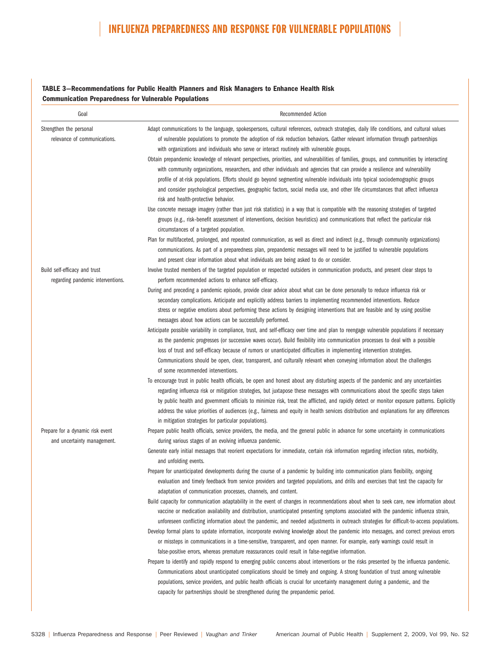## TABLE 3—Recommendations for Public Health Planners and Risk Managers to Enhance Health Risk Communication Preparedness for Vulnerable Populations

| Goal                                                    | <b>Recommended Action</b>                                                                                                                                                                                                                                                                                                                                                                                                                                                                                                                                                                                                                                                                                                                                                                                                                                                                                                                                                                                                                                                                                                                                                                                                                                                                                                                                                                                                                 |
|---------------------------------------------------------|-------------------------------------------------------------------------------------------------------------------------------------------------------------------------------------------------------------------------------------------------------------------------------------------------------------------------------------------------------------------------------------------------------------------------------------------------------------------------------------------------------------------------------------------------------------------------------------------------------------------------------------------------------------------------------------------------------------------------------------------------------------------------------------------------------------------------------------------------------------------------------------------------------------------------------------------------------------------------------------------------------------------------------------------------------------------------------------------------------------------------------------------------------------------------------------------------------------------------------------------------------------------------------------------------------------------------------------------------------------------------------------------------------------------------------------------|
| Strengthen the personal<br>relevance of communications. | Adapt communications to the language, spokespersons, cultural references, outreach strategies, daily life conditions, and cultural values<br>of vulnerable populations to promote the adoption of risk reduction behaviors. Gather relevant information through partnerships<br>with organizations and individuals who serve or interact routinely with vulnerable groups.<br>Obtain prepandemic knowledge of relevant perspectives, priorities, and vulnerabilities of families, groups, and communities by interacting<br>with community organizations, researchers, and other individuals and agencies that can provide a resilience and vulnerability<br>profile of at-risk populations. Efforts should go beyond segmenting vulnerable individuals into typical sociodemographic groups<br>and consider psychological perspectives, geographic factors, social media use, and other life circumstances that affect influenza<br>risk and health-protective behavior.<br>Use concrete message imagery (rather than just risk statistics) in a way that is compatible with the reasoning strategies of targeted<br>groups (e.g., risk-benefit assessment of interventions, decision heuristics) and communications that reflect the particular risk<br>circumstances of a targeted population.<br>Plan for multifaceted, prolonged, and repeated communication, as well as direct and indirect (e.g., through community organizations) |
|                                                         | communications. As part of a preparedness plan, prepandemic messages will need to be justified to vulnerable populations                                                                                                                                                                                                                                                                                                                                                                                                                                                                                                                                                                                                                                                                                                                                                                                                                                                                                                                                                                                                                                                                                                                                                                                                                                                                                                                  |
| Build self-efficacy and trust                           | and present clear information about what individuals are being asked to do or consider.<br>Involve trusted members of the targeted population or respected outsiders in communication products, and present clear steps to                                                                                                                                                                                                                                                                                                                                                                                                                                                                                                                                                                                                                                                                                                                                                                                                                                                                                                                                                                                                                                                                                                                                                                                                                |
| regarding pandemic interventions.                       | perform recommended actions to enhance self-efficacy.                                                                                                                                                                                                                                                                                                                                                                                                                                                                                                                                                                                                                                                                                                                                                                                                                                                                                                                                                                                                                                                                                                                                                                                                                                                                                                                                                                                     |
|                                                         | During and preceding a pandemic episode, provide clear advice about what can be done personally to reduce influenza risk or                                                                                                                                                                                                                                                                                                                                                                                                                                                                                                                                                                                                                                                                                                                                                                                                                                                                                                                                                                                                                                                                                                                                                                                                                                                                                                               |
|                                                         | secondary complications. Anticipate and explicitly address barriers to implementing recommended interventions. Reduce<br>stress or negative emotions about performing these actions by designing interventions that are feasible and by using positive<br>messages about how actions can be successfully performed.                                                                                                                                                                                                                                                                                                                                                                                                                                                                                                                                                                                                                                                                                                                                                                                                                                                                                                                                                                                                                                                                                                                       |
|                                                         | Anticipate possible variability in compliance, trust, and self-efficacy over time and plan to reengage vulnerable populations if necessary<br>as the pandemic progresses (or successive waves occur). Build flexibility into communication processes to deal with a possible<br>loss of trust and self-efficacy because of rumors or unanticipated difficulties in implementing intervention strategies.<br>Communications should be open, clear, transparent, and culturally relevant when conveying information about the challenges<br>of some recommended interventions.                                                                                                                                                                                                                                                                                                                                                                                                                                                                                                                                                                                                                                                                                                                                                                                                                                                              |
|                                                         | To encourage trust in public health officials, be open and honest about any disturbing aspects of the pandemic and any uncertainties<br>regarding influenza risk or mitigation strategies, but juxtapose these messages with communications about the specific steps taken<br>by public health and government officials to minimize risk, treat the afflicted, and rapidly detect or monitor exposure patterns. Explicitly<br>address the value priorities of audiences (e.g., fairness and equity in health services distribution and explanations for any differences<br>in mitigation strategies for particular populations).                                                                                                                                                                                                                                                                                                                                                                                                                                                                                                                                                                                                                                                                                                                                                                                                          |
| Prepare for a dynamic risk event                        | Prepare public health officials, service providers, the media, and the general public in advance for some uncertainty in communications                                                                                                                                                                                                                                                                                                                                                                                                                                                                                                                                                                                                                                                                                                                                                                                                                                                                                                                                                                                                                                                                                                                                                                                                                                                                                                   |
| and uncertainty management.                             | during various stages of an evolving influenza pandemic.<br>Generate early initial messages that reorient expectations for immediate, certain risk information regarding infection rates, morbidity,<br>and unfolding events.                                                                                                                                                                                                                                                                                                                                                                                                                                                                                                                                                                                                                                                                                                                                                                                                                                                                                                                                                                                                                                                                                                                                                                                                             |
|                                                         | Prepare for unanticipated developments during the course of a pandemic by building into communication plans flexibility, ongoing<br>evaluation and timely feedback from service providers and targeted populations, and drills and exercises that test the capacity for<br>adaptation of communication processes, channels, and content.                                                                                                                                                                                                                                                                                                                                                                                                                                                                                                                                                                                                                                                                                                                                                                                                                                                                                                                                                                                                                                                                                                  |
|                                                         | Build capacity for communication adaptability in the event of changes in recommendations about when to seek care, new information about<br>vaccine or medication availability and distribution, unanticipated presenting symptoms associated with the pandemic influenza strain,<br>unforeseen conflicting information about the pandemic, and needed adjustments in outreach strategies for difficult-to-access populations.                                                                                                                                                                                                                                                                                                                                                                                                                                                                                                                                                                                                                                                                                                                                                                                                                                                                                                                                                                                                             |
|                                                         | Develop formal plans to update information, incorporate evolving knowledge about the pandemic into messages, and correct previous errors<br>or missteps in communications in a time-sensitive, transparent, and open manner. For example, early warnings could result in<br>false-positive errors, whereas premature reassurances could result in false-negative information.                                                                                                                                                                                                                                                                                                                                                                                                                                                                                                                                                                                                                                                                                                                                                                                                                                                                                                                                                                                                                                                             |
|                                                         | Prepare to identify and rapidly respond to emerging public concerns about interventions or the risks presented by the influenza pandemic.<br>Communications about unanticipated complications should be timely and ongoing. A strong foundation of trust among vulnerable<br>populations, service providers, and public health officials is crucial for uncertainty management during a pandemic, and the<br>capacity for partnerships should be strengthened during the prepandemic period.                                                                                                                                                                                                                                                                                                                                                                                                                                                                                                                                                                                                                                                                                                                                                                                                                                                                                                                                              |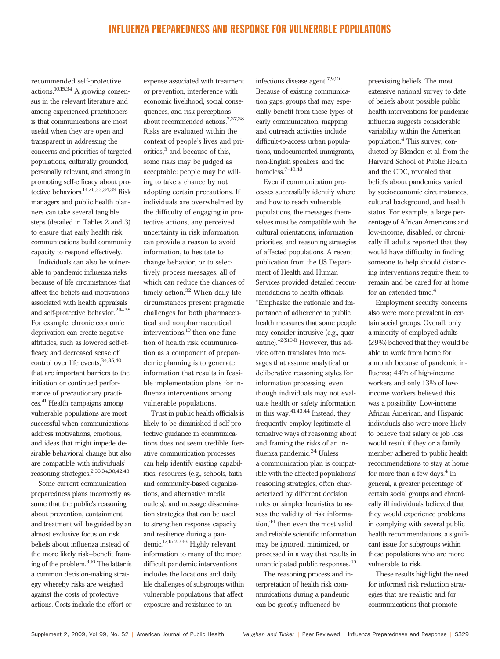recommended self-protective actions.10,15,34 A growing consensus in the relevant literature and among experienced practitioners is that communications are most useful when they are open and transparent in addressing the concerns and priorities of targeted populations, culturally grounded, personally relevant, and strong in promoting self-efficacy about protective behaviors.14,26,33,34,39 Risk managers and public health planners can take several tangible steps (detailed in Tables 2 and 3) to ensure that early health risk communications build community capacity to respond effectively.

Individuals can also be vulnerable to pandemic influenza risks because of life circumstances that affect the beliefs and motivations associated with health appraisals and self-protective behavior.29–38 For example, chronic economic deprivation can create negative attitudes, such as lowered self-efficacy and decreased sense of control over life events,  $\real^{34,35,40}$ that are important barriers to the initiation or continued performance of precautionary practices.41 Health campaigns among vulnerable populations are most successful when communications address motivations, emotions, and ideas that might impede desirable behavioral change but also are compatible with individuals' reasoning strategies.2,33,34,38,42,43

Some current communication preparedness plans incorrectly assume that the public's reasoning about prevention, containment, and treatment will be guided by an almost exclusive focus on risk beliefs about influenza instead of the more likely risk–benefit framing of the problem.3,10 The latter is a common decision-making strategy whereby risks are weighed against the costs of protective actions. Costs include the effort or expense associated with treatment or prevention, interference with economic livelihood, social consequences, and risk perceptions about recommended actions.7,27,28 Risks are evaluated within the context of people's lives and priorities, $3$  and because of this, some risks may be judged as acceptable: people may be willing to take a chance by not adopting certain precautions. If individuals are overwhelmed by the difficulty of engaging in protective actions, any perceived uncertainty in risk information can provide a reason to avoid information, to hesitate to change behavior, or to selectively process messages, all of which can reduce the chances of timely action.<sup>32</sup> When daily life circumstances present pragmatic challenges for both pharmaceutical and nonpharmaceutical interventions,<sup>10</sup> then one function of health risk communication as a component of prepandemic planning is to generate information that results in feasible implementation plans for influenza interventions among vulnerable populations.

Trust in public health officials is likely to be diminished if self-protective guidance in communications does not seem credible. Iterative communication processes can help identify existing capabilities, resources (e.g., schools, faithand community-based organizations, and alternative media outlets), and message dissemination strategies that can be used to strengthen response capacity and resilience during a pandemic.12,15,20,43 Highly relevant information to many of the more difficult pandemic interventions includes the locations and daily life challenges of subgroups within vulnerable populations that affect exposure and resistance to an

infectious disease agent.7,9,10 Because of existing communication gaps, groups that may especially benefit from these types of early communication, mapping, and outreach activities include difficult-to-access urban populations, undocumented immigrants, non-English speakers, and the homeless.<sup>7-10,43</sup>

Even if communication processes successfully identify where and how to reach vulnerable populations, the messages themselves must be compatible with the cultural orientations, information priorities, and reasoning strategies of affected populations. A recent publication from the US Department of Health and Human Services provided detailed recommendations to health officials: ''Emphasize the rationale and importance of adherence to public health measures that some people may consider intrusive (e.g., quarantine)."<sup>2(S10-I)</sup> However, this advice often translates into messages that assume analytical or deliberative reasoning styles for information processing, even though individuals may not evaluate health or safety information in this way. $41,43,44$  Instead, they frequently employ legitimate alternative ways of reasoning about and framing the risks of an influenza pandemic.<sup>34</sup> Unless a communication plan is compatible with the affected populations' reasoning strategies, often characterized by different decision rules or simpler heuristics to assess the validity of risk information,<sup>44</sup> then even the most valid and reliable scientific information may be ignored, minimized, or processed in a way that results in unanticipated public responses.<sup>45</sup>

The reasoning process and interpretation of health risk communications during a pandemic can be greatly influenced by

preexisting beliefs. The most extensive national survey to date of beliefs about possible public health interventions for pandemic influenza suggests considerable variability within the American population.<sup>4</sup> This survey, conducted by Blendon et al. from the Harvard School of Public Health and the CDC, revealed that beliefs about pandemics varied by socioeconomic circumstances, cultural background, and health status. For example, a large percentage of African Americans and low-income, disabled, or chronically ill adults reported that they would have difficulty in finding someone to help should distancing interventions require them to remain and be cared for at home for an extended time.<sup>4</sup>

Employment security concerns also were more prevalent in certain social groups. Overall, only a minority of employed adults (29%) believed that they would be able to work from home for a month because of pandemic influenza; 44% of high-income workers and only 13% of lowincome workers believed this was a possibility. Low-income, African American, and Hispanic individuals also were more likely to believe that salary or job loss would result if they or a family member adhered to public health recommendations to stay at home for more than a few days. $4 \text{ In}$ general, a greater percentage of certain social groups and chronically ill individuals believed that they would experience problems in complying with several public health recommendations, a significant issue for subgroups within these populations who are more vulnerable to risk.

These results highlight the need for informed risk reduction strategies that are realistic and for communications that promote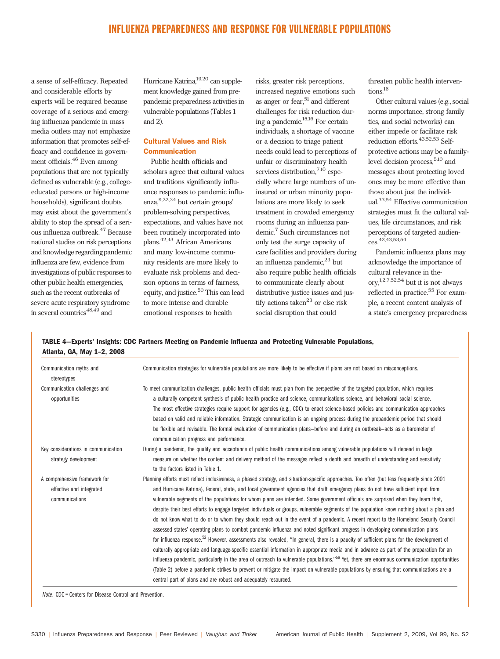a sense of self-efficacy. Repeated and considerable efforts by experts will be required because coverage of a serious and emerging influenza pandemic in mass media outlets may not emphasize information that promotes self-efficacy and confidence in government officials.<sup>46</sup> Even among populations that are not typically defined as vulnerable (e.g., collegeeducated persons or high-income households), significant doubts may exist about the government's ability to stop the spread of a serious influenza outbreak.<sup>47</sup> Because national studies on risk perceptions and knowledge regarding pandemic influenza are few, evidence from investigations of public responses to other public health emergencies, such as the recent outbreaks of severe acute respiratory syndrome in several countries $48,49$  and

Hurricane Katrina,<sup>19,20</sup> can supplement knowledge gained from prepandemic preparedness activities in vulnerable populations (Tables 1 and 2).

## Cultural Values and Risk Communication

Public health officials and scholars agree that cultural values and traditions significantly influence responses to pandemic influenza,9,22,34 but certain groups' problem-solving perspectives, expectations, and values have not been routinely incorporated into plans.42,43 African Americans and many low-income community residents are more likely to evaluate risk problems and decision options in terms of fairness, equity, and justice.<sup>50</sup> This can lead to more intense and durable emotional responses to health

risks, greater risk perceptions, increased negative emotions such as anger or fear, $51$  and different challenges for risk reduction during a pandemic.15,16 For certain individuals, a shortage of vaccine or a decision to triage patient needs could lead to perceptions of unfair or discriminatory health services distribution,<sup>7,10</sup> especially where large numbers of uninsured or urban minority populations are more likely to seek treatment in crowded emergency rooms during an influenza pandemic.7 Such circumstances not only test the surge capacity of care facilities and providers during an influenza pandemic, $23$  but also require public health officials to communicate clearly about distributive justice issues and justify actions taken $^{23}$  or else risk social disruption that could

threaten public health interventions<sup>16</sup>

Other cultural values (e.g., social norms importance, strong family ties, and social networks) can either impede or facilitate risk reduction efforts.<sup>43,52,53</sup> Selfprotective actions may be a familylevel decision process,  $5,10$  and messages about protecting loved ones may be more effective than those about just the individual.33,54 Effective communication strategies must fit the cultural values, life circumstances, and risk perceptions of targeted audiences.42,43,53,54

Pandemic influenza plans may acknowledge the importance of cultural relevance in the- $\text{ory},^{1,2,7,52,54}$  but it is not always reflected in practice.<sup>55</sup> For example, a recent content analysis of a state's emergency preparedness

## TABLE 4—Experts' Insights: CDC Partners Meeting on Pandemic Influenza and Protecting Vulnerable Populations, Atlanta, GA, May 1–2, 2008

| Communication myths and<br>stereotypes                                      | Communication strategies for vulnerable populations are more likely to be effective if plans are not based on misconceptions.                                                                                                                                                                                                                                                                                                                                                                                                                                                                                                                                                                                                                                                                                                                                                                                                                                                                                                                                                                                                                                                                                                                                                                                                                                                                                                                                                                                          |
|-----------------------------------------------------------------------------|------------------------------------------------------------------------------------------------------------------------------------------------------------------------------------------------------------------------------------------------------------------------------------------------------------------------------------------------------------------------------------------------------------------------------------------------------------------------------------------------------------------------------------------------------------------------------------------------------------------------------------------------------------------------------------------------------------------------------------------------------------------------------------------------------------------------------------------------------------------------------------------------------------------------------------------------------------------------------------------------------------------------------------------------------------------------------------------------------------------------------------------------------------------------------------------------------------------------------------------------------------------------------------------------------------------------------------------------------------------------------------------------------------------------------------------------------------------------------------------------------------------------|
| Communication challenges and<br>opportunities                               | To meet communication challenges, public health officials must plan from the perspective of the targeted population, which requires<br>a culturally competent synthesis of public health practice and science, communications science, and behavioral social science.<br>The most effective strategies require support for agencies (e.g., CDC) to enact science-based policies and communication approaches<br>based on valid and reliable information. Strategic communication is an ongoing process during the prepandemic period that should<br>be flexible and revisable. The formal evaluation of communication plans–before and during an outbreak–acts as a barometer of<br>communication progress and performance.                                                                                                                                                                                                                                                                                                                                                                                                                                                                                                                                                                                                                                                                                                                                                                                            |
| Key considerations in communication<br>strategy development                 | During a pandemic, the quality and acceptance of public health communications among vulnerable populations will depend in large<br>measure on whether the content and delivery method of the messages reflect a depth and breadth of understanding and sensitivity<br>to the factors listed in Table 1.                                                                                                                                                                                                                                                                                                                                                                                                                                                                                                                                                                                                                                                                                                                                                                                                                                                                                                                                                                                                                                                                                                                                                                                                                |
| A comprehensive framework for<br>effective and integrated<br>communications | Planning efforts must reflect inclusiveness, a phased strategy, and situation-specific approaches. Too often (but less frequently since 2001<br>and Hurricane Katrina), federal, state, and local government agencies that draft emergency plans do not have sufficient input from<br>vulnerable segments of the populations for whom plans are intended. Some government officials are surprised when they learn that,<br>despite their best efforts to engage targeted individuals or groups, vulnerable segments of the population know nothing about a plan and<br>do not know what to do or to whom they should reach out in the event of a pandemic. A recent report to the Homeland Security Council<br>assessed states' operating plans to combat pandemic influenza and noted significant progress in developing communication plans<br>for influenza response. <sup>52</sup> However, assessments also revealed, "In general, there is a paucity of sufficient plans for the development of<br>culturally appropriate and language-specific essential information in appropriate media and in advance as part of the preparation for an<br>influenza pandemic, particularly in the area of outreach to vulnerable populations." <sup>56</sup> Yet, there are enormous communication opportunities<br>(Table 2) before a pandemic strikes to prevent or mitigate the impact on vulnerable populations by ensuring that communications are a<br>central part of plans and are robust and adequately resourced. |

Note. CDC = Centers for Disease Control and Prevention.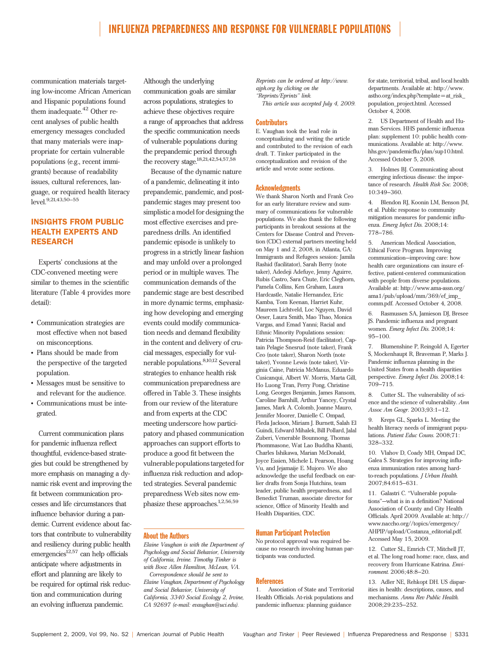communication materials targeting low-income African American and Hispanic populations found them inadequate.<sup>42</sup> Other recent analyses of public health emergency messages concluded that many materials were inappropriate for certain vulnerable populations (e.g., recent immigrants) because of readability issues, cultural references, language, or required health literacy level.<sup>9,21,43,50–55</sup>

## INSIGHTS FROM PUBLIC HEALTH EXPERTS AND RESEARCH

Experts' conclusions at the CDC-convened meeting were similar to themes in the scientific literature (Table 4 provides more detail):

- Communication strategies are most effective when not based on misconceptions.
- Plans should be made from the perspective of the targeted population.
- Messages must be sensitive to and relevant for the audience.
- Communications must be integrated.

Current communication plans for pandemic influenza reflect thoughtful, evidence-based strategies but could be strengthened by more emphasis on managing a dynamic risk event and improving the fit between communication processes and life circumstances that influence behavior during a pandemic. Current evidence about factors that contribute to vulnerability and resiliency during public health  $emergencies<sup>12,57</sup>$  can help officials anticipate where adjustments in effort and planning are likely to be required for optimal risk reduction and communication during an evolving influenza pandemic.

Although the underlying communication goals are similar across populations, strategies to achieve these objectives require a range of approaches that address the specific communication needs of vulnerable populations during the prepandemic period through the recovery stage.<sup>18,21,42,54,57,58</sup>

Because of the dynamic nature of a pandemic, delineating it into prepandemic, pandemic, and postpandemic stages may present too simplistic a model for designing the most effective exercises and preparedness drills. An identified pandemic episode is unlikely to progress in a strictly linear fashion and may unfold over a prolonged period or in multiple waves. The communication demands of the pandemic stage are best described in more dynamic terms, emphasizing how developing and emerging events could modify communication needs and demand flexibility in the content and delivery of crucial messages, especially for vulnerable populations.8,10,12 Several strategies to enhance health risk communication preparedness are offered in Table 3. These insights from our review of the literature and from experts at the CDC meeting underscore how participatory and phased communication approaches can support efforts to produce a good fit between the vulnerable populations targeted for influenza risk reduction and adopted strategies. Several pandemic preparedness Web sites now emphasize these approaches.<sup>1,2,56,59</sup>

#### About the Authors

Elaine Vaughan is with the Department of Psychology and Social Behavior, University of California, Irvine. Timothy Tinker is with Booz Allen Hamilton, McLean, VA. Correspondence should be sent to Elaine Vaughan, Department of Psychology and Social Behavior, University of California, 3340 Social Ecology 2, Irvine, CA 92697 (e-mail: evaughan@uci.edu).

Reprints can be ordered at http://www. ajph.org by clicking on the ''Reprints/Eprints'' link.

This article was accepted July 4, 2009.

#### **Contributors**

E. Vaughan took the lead role in conceptualizing and writing the article and contributed to the revision of each draft. T. Tinker participated in the conceptualization and revision of the article and wrote some sections.

#### Acknowledgments

We thank Sharon North and Frank Ceo for an early literature review and summary of communications for vulnerable populations. We also thank the following participants in breakout sessions at the Centers for Disease Control and Prevention (CDC) external partners meeting held on May 1 and 2, 2008, in Atlanta, GA: Immigrants and Refugees session: Jamila Rashid (facilitator), Sarah Berry (note taker), Adedeji Adefuye, Jenny Aguirre, Rubis Castro, Sara Chute, Eric Cleghorn, Pamela Collins, Ken Graham, Laura Hardcastle, Natalie Hernandez, Eric Kamba, Tom Keenan, Harriet Kuhr, Maureen Lichtveld, Loc Nguyen, David Oeser, Laura Smith, Mao Thao, Monica Vargas, and Emad Yanni; Racial and Ethnic Minority Populations session: Patricia Thompson-Reid (facilitator), Captain Pelagie Snesrud (note taker), Frank Ceo (note taker), Sharon North (note taker), Yvonne Lewis (note taker), Virginia Caine, Patricia McManus, Eduardo Cusicanqui, Albert W. Morris, Marta Gill, Ho Luong Tran, Perry Pong, Christine Long, Georges Benjamin, James Ransom, Caroline Barnhill, Arthur Yancey, Crystal James, Mark A. Colomb, Joanne Mauro, Jennifer Moorer, Danielle C. Ompad, Fleda Jackson, Miriam J. Burnett, Salah El Guindi, Edward Mihalek, Bill Pollard, Jalal Zuberi, Venerable Bounnong, Thomas Phommasone, Wat Lao Buddha Khanti, Charles Ishikawa, Marian McDonald, Joyce Essien, Michele L Pearson, Hoang Vu, and Jejamaije E. Mujoro. We also acknowledge the useful feedback on earlier drafts from Sonja Hutchins, team leader, public health preparedness, and Benedict Truman, associate director for science, Office of Minority Health and Health Disparities, CDC.

#### Human Participant Protection

No protocol approval was required because no research involving human participants was conducted.

#### **References**

1. Association of State and Territorial Health Officials. At-risk populations and pandemic influenza: planning guidance

for state, territorial, tribal, and local health departments. Available at: http://www. astho.org/index.php?template = at\_risk\_ population\_project.html. Accessed October 4, 2008.

2. US Department of Health and Human Services. HHS pandemic influenza plan: supplement 10: public health communications. Available at: http://www. hhs.gov/pandemicflu/plan/sup10.html. Accessed October 5, 2008.

3. Holmes BJ. Communicating about emerging infectious disease: the importance of research. Health Risk Soc. 2008; 10:349–360.

4. Blendon RJ, Koonin LM, Benson JM, et al. Public response to community mitigation measures for pandemic influenza. Emerg Infect Dis. 2008;14: 778–786.

5. American Medical Association, Ethical Force Program. Improving communication—improving care: how health care organizations can insure effective, patient-centered communication with people from diverse populations. Available at: http://www.ama-assn.org/ ama1/pub/upload/mm/369/ef\_imp\_ comm.pdf. Accessed October 4, 2008.

6. Rasmussen SA, Jamieson DJ, Bresee JS. Pandemic influenza and pregnant women. Emerg Infect Dis. 2008;14: 95–100.

7. Blumenshine P, Reingold A, Egerter S, Mockenhaupt R, Braveman P, Marks J. Pandemic influenza planning in the United States from a health disparities perspective. Emerg Infect Dis. 2008;14: 709–715.

8. Cutter SL. The vulnerability of science and the science of vulnerability. Ann Assoc Am Geogr. 2003;93:1–12.

9. Kreps GL, Sparks L. Meeting the health literacy needs of immigrant populations. Patient Educ Couns. 2008;71: 328–332.

10. Vlahov D, Coady MH, Ompad DC, Galea S. Strategies for improving influenza immunization rates among hardto-reach populations. J Urban Health. 2007;84:615–631.

11. Galastri C. ''Vulnerable populations''—what is in a definition? National Association of County and City Health Officials. April 2009. Available at: http:// www.naccho.org//topics/emergency/ AHPIP/upload/Costanza\_editorial.pdf. Accessed May 15, 2009.

12. Cutter SL, Emrich CT, Mitchell JT, et al. The long road home: race, class, and recovery from Hurricane Katrina. Environment. 2006;48:8–20.

13. Adler NE, Rehkopt DH. US disparities in health: descriptions, causes, and mechanisms. Annu Rev Public Health. 2008;29:235–252.